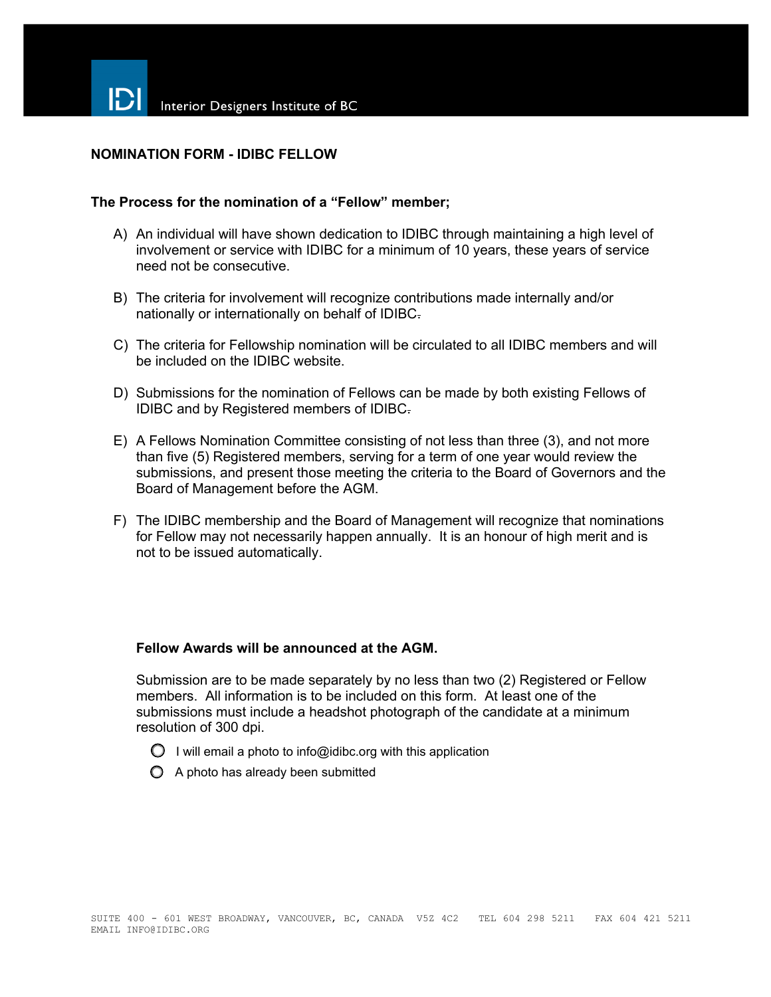## **NOMINATION FORM - IDIBC FELLOW**

### **The Process for the nomination of a "Fellow" member;**

- A) An individual will have shown dedication to IDIBC through maintaining a high level of involvement or service with IDIBC for a minimum of 10 years, these years of service need not be consecutive.
- B) The criteria for involvement will recognize contributions made internally and/or nationally or internationally on behalf of IDIBC.
- C) The criteria for Fellowship nomination will be circulated to all IDIBC members and will be included on the IDIBC website.
- D) Submissions for the nomination of Fellows can be made by both existing Fellows of IDIBC and by Registered members of IDIBC.
- E) A Fellows Nomination Committee consisting of not less than three (3), and not more than five (5) Registered members, serving for a term of one year would review the submissions, and present those meeting the criteria to the Board of Governors and the Board of Management before the AGM.
- F) The IDIBC membership and the Board of Management will recognize that nominations for Fellow may not necessarily happen annually. It is an honour of high merit and is not to be issued automatically.

#### **Fellow Awards will be announced at the AGM.**

Submission are to be made separately by no less than two (2) Registered or Fellow members. All information is to be included on this form. At least one of the submissions must include a headshot photograph of the candidate at a minimum resolution of 300 dpi.

- $\bigcirc$  I will email a photo to info@idibc.org with this application
- $\bigcirc$  A photo has already been submitted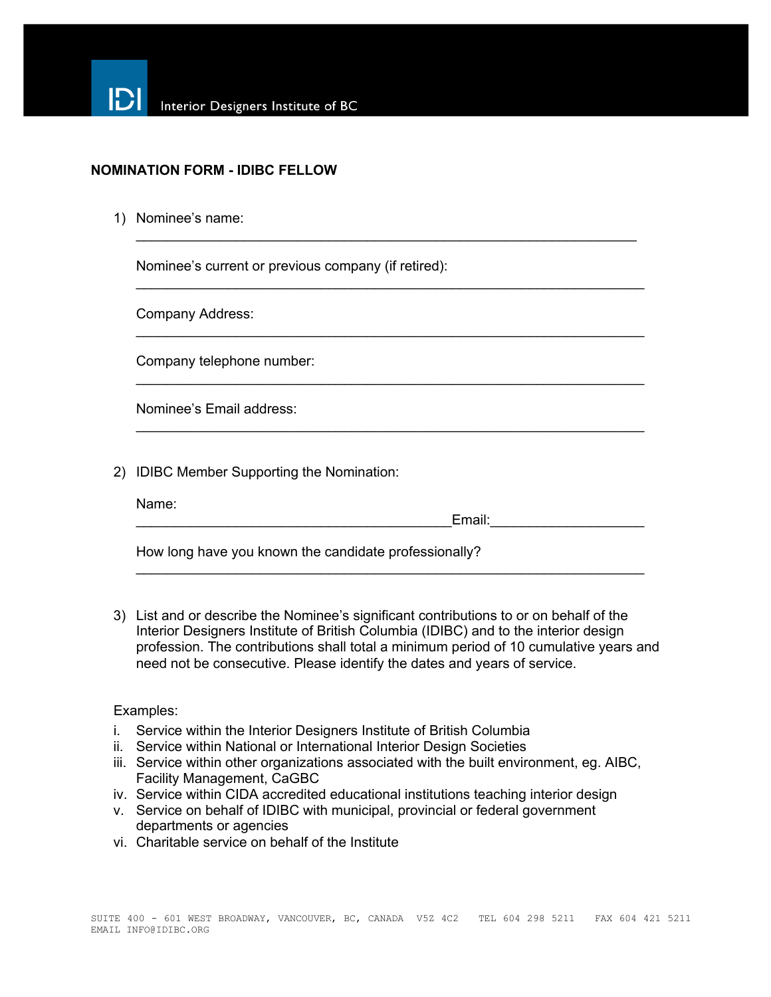

### **NOMINATION FORM - IDIBC FELLOW**

1) Nominee's name:

Nominee's current or previous company (if retired):

Company Address:

Company telephone number:

Nominee's Email address:

2) IDIBC Member Supporting the Nomination:

| Name <sup>-</sup> |  |  |
|-------------------|--|--|
|                   |  |  |

 $E$ mail:

How long have you known the candidate professionally?

3) List and or describe the Nominee's significant contributions to or on behalf of the Interior Designers Institute of British Columbia (IDIBC) and to the interior design profession. The contributions shall total a minimum period of 10 cumulative years and need not be consecutive. Please identify the dates and years of service.

 $\_$ 

 $\_$ 

 $\_$ 

 $\_$ 

 $\_$ 

#### Examples:

- i. Service within the Interior Designers Institute of British Columbia
- ii. Service within National or International Interior Design Societies
- iii. Service within other organizations associated with the built environment, eg. AIBC, Facility Management, CaGBC
- iv. Service within CIDA accredited educational institutions teaching interior design
- v. Service on behalf of IDIBC with municipal, provincial or federal government departments or agencies
- vi. Charitable service on behalf of the Institute